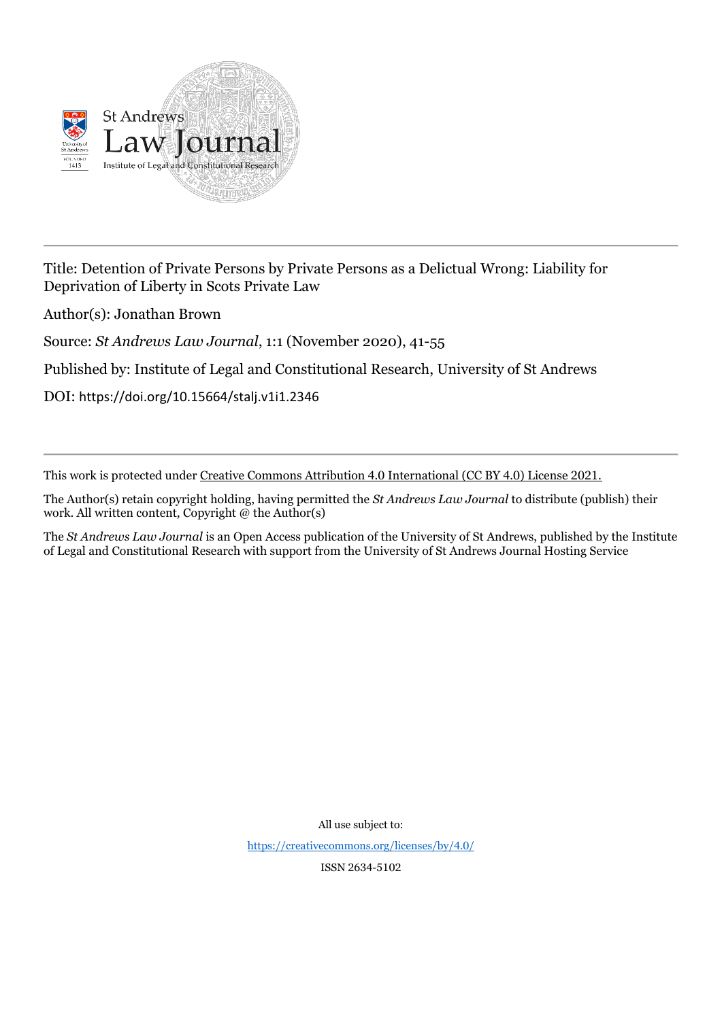

Title: Detention of Private Persons by Private Persons as a Delictual Wrong: Liability for Deprivation of Liberty in Scots Private Law

Author(s): Jonathan Brown

Source: *St Andrews Law Journal*, 1:1 (November 2020), 41-55

Published by: Institute of Legal and Constitutional Research, University of St Andrews

DOI: https://doi.org/10.15664/stalj.v1i1.2346

This work is protected under Creative Commons Attribution 4.0 International (CC BY 4.0) License 2021.

The Author(s) retain copyright holding, having permitted the *St Andrews Law Journal* to distribute (publish) their work. All written content, Copyright @ the Author(s)

The *St Andrews Law Journal* is an Open Access publication of the University of St Andrews, published by the Institute of Legal and Constitutional Research with support from the University of St Andrews Journal Hosting Service

All use subject to:

<https://creativecommons.org/licenses/by/4.0/>

ISSN 2634-5102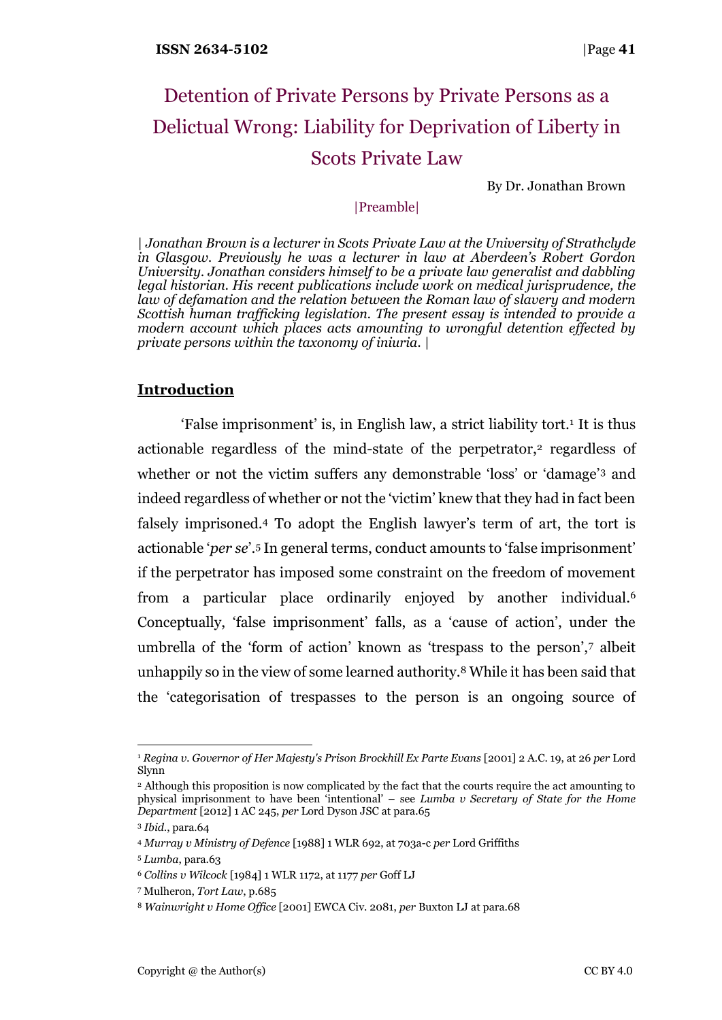# Detention of Private Persons by Private Persons as a Delictual Wrong: Liability for Deprivation of Liberty in Scots Private Law

By Dr. Jonathan Brown

## |Preamble|

| *Jonathan Brown is a lecturer in Scots Private Law at the University of Strathclyde in Glasgow. Previously he was a lecturer in law at Aberdeen's Robert Gordon University. Jonathan considers himself to be a private law generalist and dabbling legal historian. His recent publications include work on medical jurisprudence, the law of defamation and the relation between the Roman law of slavery and modern Scottish human trafficking legislation. The present essay is intended to provide a modern account which places acts amounting to wrongful detention effected by private persons within the taxonomy of iniuria.* |

## **Introduction**

'False imprisonment' is, in English law, a strict liability tort.<sup>1</sup> It is thus actionable regardless of the mind-state of the perpetrator,<sup>2</sup> regardless of whether or not the victim suffers any demonstrable 'loss' or 'damage'<sup>3</sup> and indeed regardless of whether or not the 'victim' knew that they had in fact been falsely imprisoned.<sup>4</sup> To adopt the English lawyer's term of art, the tort is actionable '*per se*'.<sup>5</sup> In general terms, conduct amounts to 'false imprisonment' if the perpetrator has imposed some constraint on the freedom of movement from a particular place ordinarily enjoyed by another individual.<sup>6</sup> Conceptually, 'false imprisonment' falls, as a 'cause of action', under the umbrella of the 'form of action' known as 'trespass to the person',<sup>7</sup> albeit unhappily so in the view of some learned authority.<sup>8</sup> While it has been said that the 'categorisation of trespasses to the person is an ongoing source of

<sup>1</sup> *Regina v. Governor of Her Majesty's Prison Brockhill Ex Parte Evans* [2001] 2 A.C. 19, at 26 *per* Lord Slynn

<sup>2</sup> Although this proposition is now complicated by the fact that the courts require the act amounting to physical imprisonment to have been 'intentional' – see *Lumba v Secretary of State for the Home Department* [2012] 1 AC 245, *per* Lord Dyson JSC at para.65

<sup>3</sup> *Ibid*., para.64

<sup>4</sup> *Murray v Ministry of Defence* [1988] 1 WLR 692, at 703a-c *per* Lord Griffiths

<sup>5</sup> *Lumba*, para.63

<sup>6</sup> *Collins v Wilcock* [1984] 1 WLR 1172, at 1177 *per* Goff LJ

<sup>7</sup> Mulheron, *Tort Law*, p.685

<sup>8</sup> *Wainwright v Home Office* [2001] EWCA Civ. 2081, *per* Buxton LJ at para.68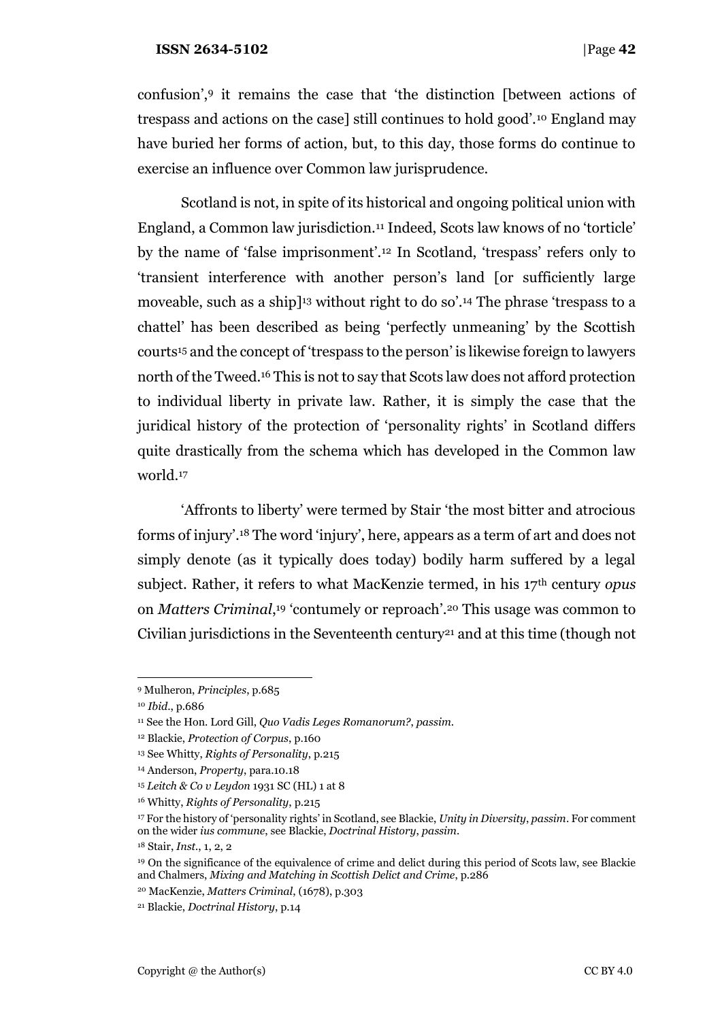confusion',<sup>9</sup> it remains the case that 'the distinction [between actions of trespass and actions on the case] still continues to hold good'.<sup>10</sup> England may have buried her forms of action, but, to this day, those forms do continue to exercise an influence over Common law jurisprudence.

Scotland is not, in spite of its historical and ongoing political union with England, a Common law jurisdiction.<sup>11</sup> Indeed, Scots law knows of no 'torticle' by the name of 'false imprisonment'.<sup>12</sup> In Scotland, 'trespass' refers only to 'transient interference with another person's land [or sufficiently large moveable, such as a ship]<sup>13</sup> without right to do so'.<sup>14</sup> The phrase 'trespass to a chattel' has been described as being 'perfectly unmeaning' by the Scottish courts<sup>15</sup> and the concept of 'trespass to the person' is likewise foreign to lawyers north of the Tweed.<sup>16</sup> This is not to say that Scots law does not afford protection to individual liberty in private law. Rather, it is simply the case that the juridical history of the protection of 'personality rights' in Scotland differs quite drastically from the schema which has developed in the Common law world.<sup>17</sup>

'Affronts to liberty' were termed by Stair 'the most bitter and atrocious forms of injury'.<sup>18</sup> The word 'injury', here, appears as a term of art and does not simply denote (as it typically does today) bodily harm suffered by a legal subject. Rather, it refers to what MacKenzie termed, in his 17th century *opus* on *Matters Criminal*, <sup>19</sup> 'contumely or reproach'.<sup>20</sup> This usage was common to Civilian jurisdictions in the Seventeenth century<sup>21</sup> and at this time (though not

<sup>9</sup> Mulheron, *Principles*, p.685

<sup>10</sup> *Ibid*., p.686

<sup>11</sup> See the Hon. Lord Gill, *Quo Vadis Leges Romanorum?*, *passim*.

<sup>12</sup> Blackie, *Protection of Corpus*, p.160

<sup>13</sup> See Whitty, *Rights of Personality*, p.215

<sup>14</sup> Anderson, *Property*, para.10.18

<sup>15</sup> *Leitch & Co v Leydon* 1931 SC (HL) 1 at 8

<sup>16</sup> Whitty, *Rights of Personality*, p.215

<sup>17</sup> For the history of 'personality rights' in Scotland, see Blackie, *Unity in Diversity*, *passim*. For comment on the wider *ius commune*, see Blackie, *Doctrinal History*, *passim*.

<sup>18</sup> Stair, *Inst.*, 1, 2, 2

<sup>19</sup> On the significance of the equivalence of crime and delict during this period of Scots law, see Blackie and Chalmers, *Mixing and Matching in Scottish Delict and Crime*, p.286

<sup>20</sup> MacKenzie, *Matters Criminal*, (1678), p.303

<sup>21</sup> Blackie, *Doctrinal History*, p.14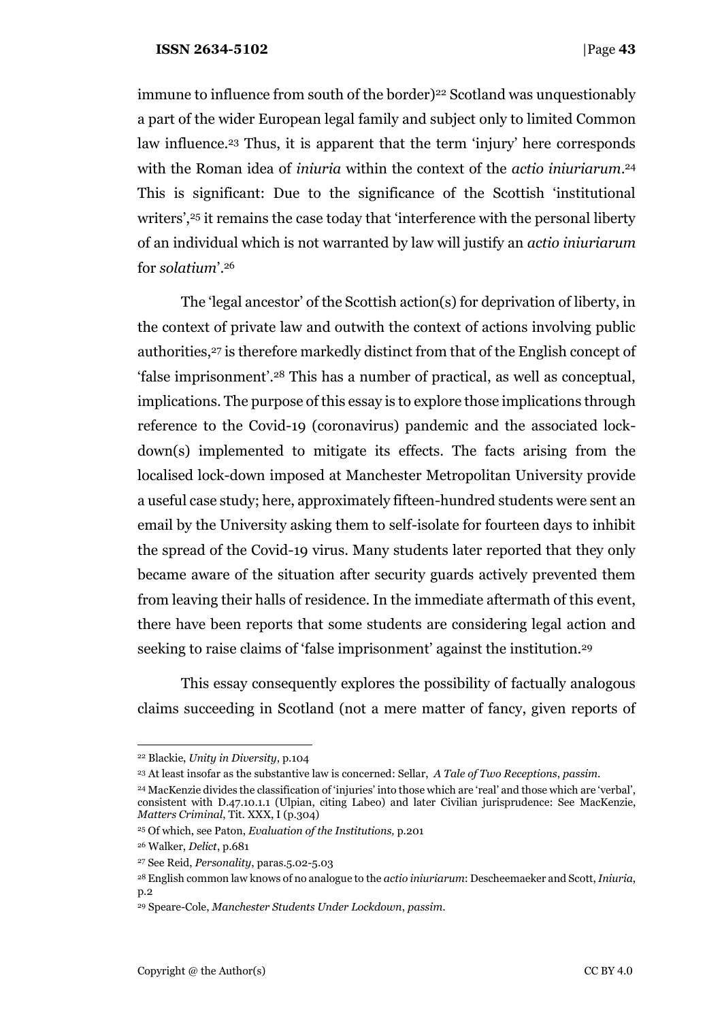immune to influence from south of the border)<sup>22</sup> Scotland was unquestionably a part of the wider European legal family and subject only to limited Common law influence.<sup>23</sup> Thus, it is apparent that the term 'injury' here corresponds with the Roman idea of *iniuria* within the context of the *actio iniuriarum*. 24 This is significant: Due to the significance of the Scottish 'institutional writers',<sup>25</sup> it remains the case today that 'interference with the personal liberty of an individual which is not warranted by law will justify an *actio iniuriarum*  for *solatium*'.<sup>26</sup>

The 'legal ancestor' of the Scottish action(s) for deprivation of liberty, in the context of private law and outwith the context of actions involving public authorities,<sup>27</sup> is therefore markedly distinct from that of the English concept of 'false imprisonment'.<sup>28</sup> This has a number of practical, as well as conceptual, implications. The purpose of this essay is to explore those implications through reference to the Covid-19 (coronavirus) pandemic and the associated lockdown(s) implemented to mitigate its effects. The facts arising from the localised lock-down imposed at Manchester Metropolitan University provide a useful case study; here, approximately fifteen-hundred students were sent an email by the University asking them to self-isolate for fourteen days to inhibit the spread of the Covid-19 virus. Many students later reported that they only became aware of the situation after security guards actively prevented them from leaving their halls of residence. In the immediate aftermath of this event, there have been reports that some students are considering legal action and seeking to raise claims of 'false imprisonment' against the institution.<sup>29</sup>

This essay consequently explores the possibility of factually analogous claims succeeding in Scotland (not a mere matter of fancy, given reports of

<sup>22</sup> Blackie, *Unity in Diversity*, p.104

<sup>23</sup> At least insofar as the substantive law is concerned: Sellar, *A Tale of Two Receptions*, *passim*.

<sup>24</sup> MacKenzie divides the classification of 'injuries' into those which are 'real' and those which are 'verbal', consistent with D.47.10.1.1 (Ulpian, citing Labeo) and later Civilian jurisprudence: See MacKenzie, *Matters Criminal*, Tit. XXX, I (p.304)

<sup>25</sup> Of which, see Paton, *Evaluation of the Institutions,* p.201

<sup>26</sup> Walker, *Delict*, p.681

<sup>27</sup> See Reid, *Personality*, paras.5.02-5.03

<sup>28</sup> English common law knows of no analogue to the *actio iniuriarum*: Descheemaeker and Scott, *Iniuria*, p.2

<sup>29</sup> Speare-Cole, *Manchester Students Under Lockdown*, *passim*.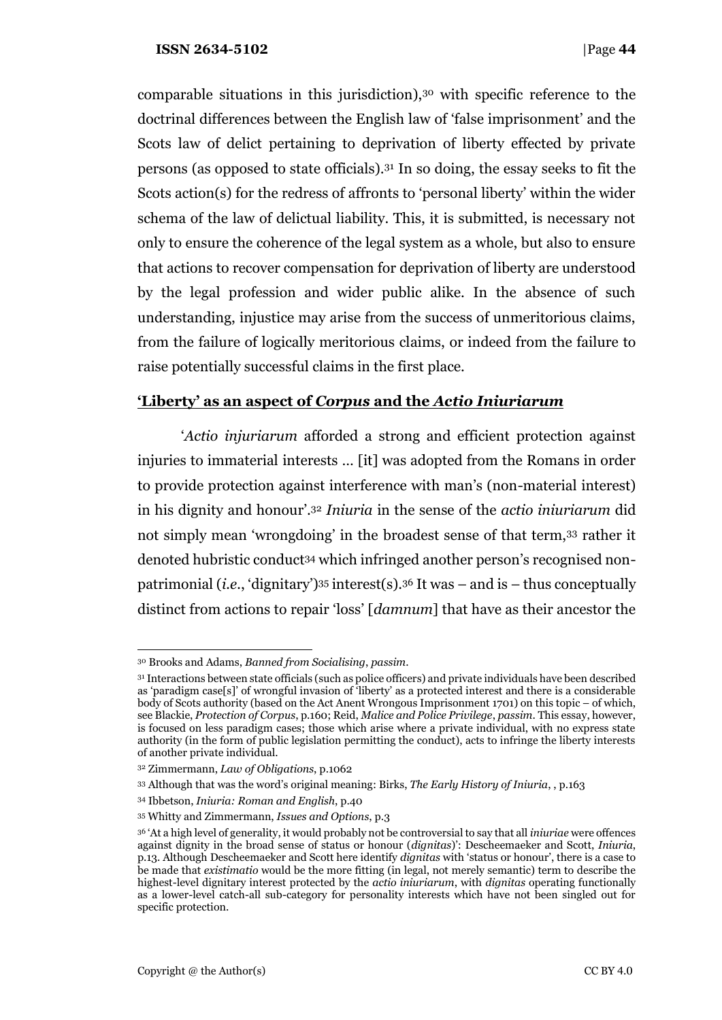comparable situations in this jurisdiction),<sup>30</sup> with specific reference to the doctrinal differences between the English law of 'false imprisonment' and the Scots law of delict pertaining to deprivation of liberty effected by private persons (as opposed to state officials).<sup>31</sup> In so doing, the essay seeks to fit the Scots action(s) for the redress of affronts to 'personal liberty' within the wider schema of the law of delictual liability. This, it is submitted, is necessary not only to ensure the coherence of the legal system as a whole, but also to ensure that actions to recover compensation for deprivation of liberty are understood by the legal profession and wider public alike. In the absence of such understanding, injustice may arise from the success of unmeritorious claims, from the failure of logically meritorious claims, or indeed from the failure to raise potentially successful claims in the first place.

# **'Liberty' as an aspect of** *Corpus* **and the** *Actio Iniuriarum*

'*Actio injuriarum* afforded a strong and efficient protection against injuries to immaterial interests … [it] was adopted from the Romans in order to provide protection against interference with man's (non-material interest) in his dignity and honour'.<sup>32</sup> *Iniuria* in the sense of the *actio iniuriarum* did not simply mean 'wrongdoing' in the broadest sense of that term,<sup>33</sup> rather it denoted hubristic conduct<sup>34</sup> which infringed another person's recognised nonpatrimonial (*i.e.*, 'dignitary')<sup>35</sup> interest(s).<sup>36</sup> It was – and is – thus conceptually distinct from actions to repair 'loss' [*damnum*] that have as their ancestor the

<sup>30</sup> Brooks and Adams, *Banned from Socialising*, *passim*.

<sup>31</sup> Interactions between state officials (such as police officers) and private individuals have been described as 'paradigm case[s]' of wrongful invasion of 'liberty' as a protected interest and there is a considerable body of Scots authority (based on the Act Anent Wrongous Imprisonment 1701) on this topic – of which, see Blackie, *Protection of Corpus*, p.160; Reid, *Malice and Police Privilege*, *passim*. This essay, however, is focused on less paradigm cases; those which arise where a private individual, with no express state authority (in the form of public legislation permitting the conduct), acts to infringe the liberty interests of another private individual.

<sup>32</sup> Zimmermann, *Law of Obligations*, p.1062

<sup>33</sup> Although that was the word's original meaning: Birks, *The Early History of Iniuria*, , p.163

<sup>34</sup> Ibbetson, *Iniuria: Roman and English*, p.40

<sup>35</sup> Whitty and Zimmermann, *Issues and Options*, p.3

<sup>36</sup> 'At a high level of generality, it would probably not be controversial to say that all *iniuriae* were offences against dignity in the broad sense of status or honour (*dignitas*)': Descheemaeker and Scott, *Iniuria*, p.13. Although Descheemaeker and Scott here identify *dignitas* with 'status or honour', there is a case to be made that *existimatio* would be the more fitting (in legal, not merely semantic) term to describe the highest-level dignitary interest protected by the *actio iniuriarum*, with *dignitas* operating functionally as a lower-level catch-all sub-category for personality interests which have not been singled out for specific protection.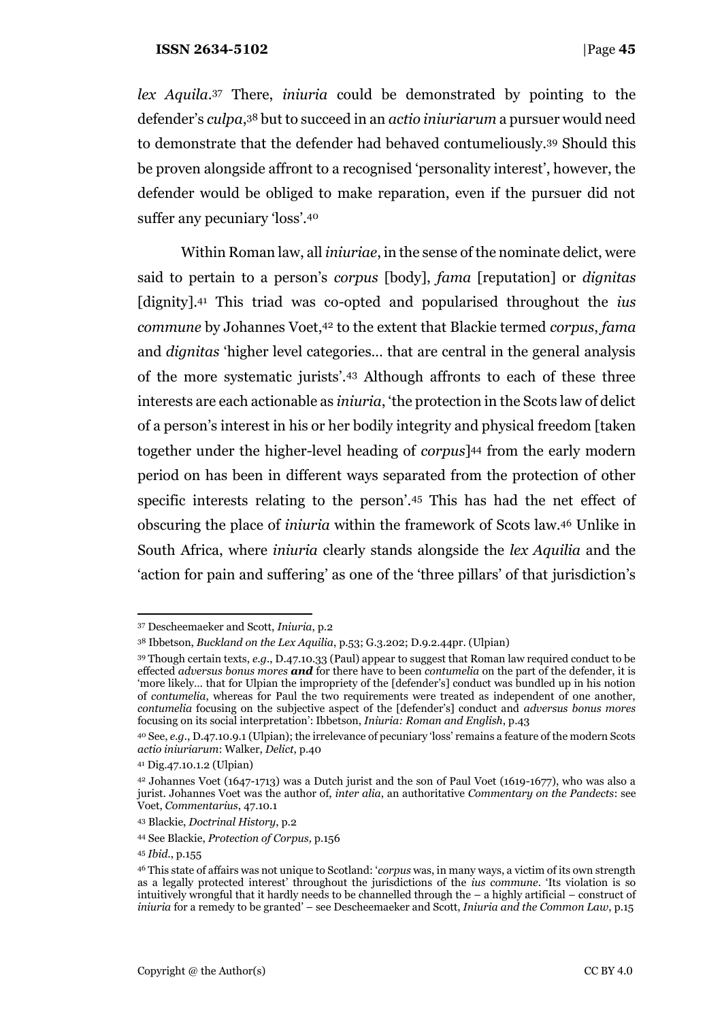*lex Aquila*. <sup>37</sup> There, *iniuria* could be demonstrated by pointing to the defender's *culpa*, <sup>38</sup> but to succeed in an *actio iniuriarum* a pursuer would need to demonstrate that the defender had behaved contumeliously.<sup>39</sup> Should this be proven alongside affront to a recognised 'personality interest', however, the defender would be obliged to make reparation, even if the pursuer did not suffer any pecuniary 'loss'.<sup>40</sup>

Within Roman law, all *iniuriae*, in the sense of the nominate delict, were said to pertain to a person's *corpus* [body], *fama* [reputation] or *dignitas*  [dignity].<sup>41</sup> This triad was co-opted and popularised throughout the *ius commune* by Johannes Voet,<sup>42</sup> to the extent that Blackie termed *corpus*, *fama*  and *dignitas* 'higher level categories… that are central in the general analysis of the more systematic jurists'.<sup>43</sup> Although affronts to each of these three interests are each actionable as *iniuria*, 'the protection in the Scots law of delict of a person's interest in his or her bodily integrity and physical freedom [taken together under the higher-level heading of *corpus*] <sup>44</sup> from the early modern period on has been in different ways separated from the protection of other specific interests relating to the person'.<sup>45</sup> This has had the net effect of obscuring the place of *iniuria* within the framework of Scots law.<sup>46</sup> Unlike in South Africa, where *iniuria* clearly stands alongside the *lex Aquilia* and the 'action for pain and suffering' as one of the 'three pillars' of that jurisdiction's

<sup>37</sup> Descheemaeker and Scott, *Iniuria*, p.2

<sup>38</sup> Ibbetson, *Buckland on the Lex Aquilia*, p.53; G.3.202; D.9.2.44pr. (Ulpian)

<sup>39</sup> Though certain texts, *e.g.*, D.47.10.33 (Paul) appear to suggest that Roman law required conduct to be effected *adversus bonus mores and* for there have to been *contumelia* on the part of the defender, it is 'more likely… that for Ulpian the impropriety of the [defender's] conduct was bundled up in his notion of *contumelia*, whereas for Paul the two requirements were treated as independent of one another, *contumelia* focusing on the subjective aspect of the [defender's] conduct and *adversus bonus mores* focusing on its social interpretation': Ibbetson, *Iniuria: Roman and English*, p.43

<sup>40</sup> See, *e.g.*, D.47.10.9.1 (Ulpian); the irrelevance of pecuniary 'loss' remains a feature of the modern Scots *actio iniuriarum*: Walker, *Delict*, p.40

<sup>41</sup> Dig.47.10.1.2 (Ulpian)

<sup>42</sup> Johannes Voet (1647-1713) was a Dutch jurist and the son of Paul Voet (1619-1677), who was also a jurist. Johannes Voet was the author of, *inter alia*, an authoritative *Commentary on the Pandects*: see Voet, *Commentarius*, 47.10.1

<sup>43</sup> Blackie, *Doctrinal History*, p.2

<sup>44</sup> See Blackie, *Protection of Corpus,* p.156

<sup>45</sup> *Ibid.*, p.155

<sup>46</sup> This state of affairs was not unique to Scotland: '*corpus* was, in many ways, a victim of its own strength as a legally protected interest' throughout the jurisdictions of the *ius commune*. 'Its violation is so intuitively wrongful that it hardly needs to be channelled through the – a highly artificial – construct of *iniuria* for a remedy to be granted' – see Descheemaeker and Scott, *Iniuria and the Common Law*, p.15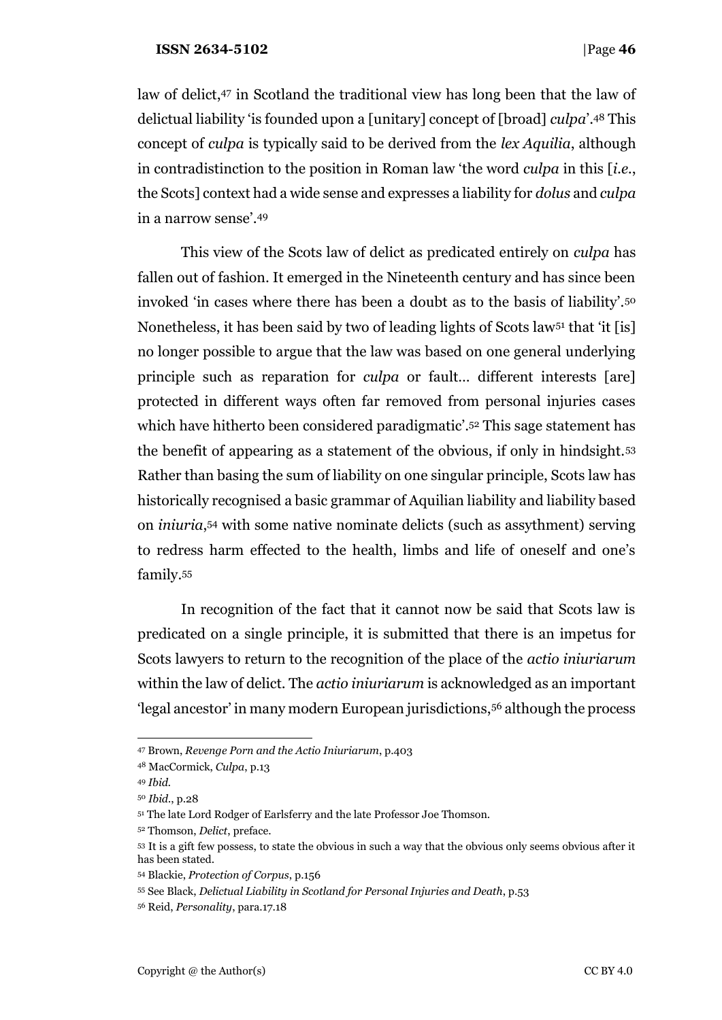law of delict,<sup>47</sup> in Scotland the traditional view has long been that the law of delictual liability 'is founded upon a [unitary] concept of [broad] *culpa*'.<sup>48</sup> This concept of *culpa* is typically said to be derived from the *lex Aquilia*, although in contradistinction to the position in Roman law 'the word *culpa* in this [*i.e.*, the Scots] context had a wide sense and expresses a liability for *dolus* and *culpa*  in a narrow sense'.<sup>49</sup>

This view of the Scots law of delict as predicated entirely on *culpa* has fallen out of fashion. It emerged in the Nineteenth century and has since been invoked 'in cases where there has been a doubt as to the basis of liability'.<sup>50</sup> Nonetheless, it has been said by two of leading lights of Scots law<sup>51</sup> that 'it [is] no longer possible to argue that the law was based on one general underlying principle such as reparation for *culpa* or fault… different interests [are] protected in different ways often far removed from personal injuries cases which have hitherto been considered paradigmatic'.<sup>52</sup> This sage statement has the benefit of appearing as a statement of the obvious, if only in hindsight.<sup>53</sup> Rather than basing the sum of liability on one singular principle, Scots law has historically recognised a basic grammar of Aquilian liability and liability based on *iniuria*, <sup>54</sup> with some native nominate delicts (such as assythment) serving to redress harm effected to the health, limbs and life of oneself and one's family.<sup>55</sup>

In recognition of the fact that it cannot now be said that Scots law is predicated on a single principle, it is submitted that there is an impetus for Scots lawyers to return to the recognition of the place of the *actio iniuriarum*  within the law of delict. The *actio iniuriarum* is acknowledged as an important 'legal ancestor' in many modern European jurisdictions,<sup>56</sup> although the process

<sup>47</sup> Brown, *Revenge Porn and the Actio Iniuriarum*, p.403

<sup>48</sup> MacCormick, *Culpa*, p.13

<sup>49</sup> *Ibid.*

<sup>50</sup> *Ibid.*, p.28

<sup>51</sup> The late Lord Rodger of Earlsferry and the late Professor Joe Thomson.

<sup>52</sup> Thomson, *Delict*, preface.

<sup>53</sup> It is a gift few possess, to state the obvious in such a way that the obvious only seems obvious after it has been stated.

<sup>54</sup> Blackie, *Protection of Corpus*, p.156

<sup>55</sup> See Black, *Delictual Liability in Scotland for Personal Injuries and Death*, p.53

<sup>56</sup> Reid, *Personality*, para.17.18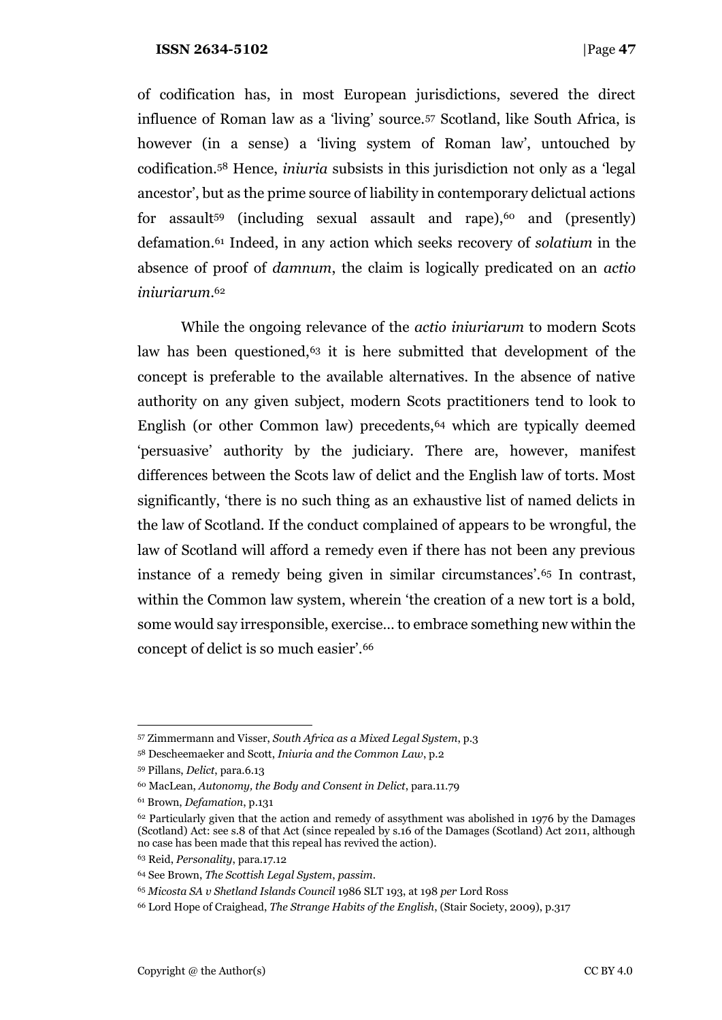of codification has, in most European jurisdictions, severed the direct influence of Roman law as a 'living' source.<sup>57</sup> Scotland, like South Africa, is however (in a sense) a 'living system of Roman law', untouched by codification.<sup>58</sup> Hence, *iniuria* subsists in this jurisdiction not only as a 'legal ancestor', but as the prime source of liability in contemporary delictual actions for assault<sup>59</sup> (including sexual assault and rape),<sup>60</sup> and (presently) defamation.<sup>61</sup> Indeed, in any action which seeks recovery of *solatium* in the absence of proof of *damnum*, the claim is logically predicated on an *actio iniuriarum*. 62

While the ongoing relevance of the *actio iniuriarum* to modern Scots law has been questioned,<sup>63</sup> it is here submitted that development of the concept is preferable to the available alternatives. In the absence of native authority on any given subject, modern Scots practitioners tend to look to English (or other Common law) precedents,<sup>64</sup> which are typically deemed 'persuasive' authority by the judiciary. There are, however, manifest differences between the Scots law of delict and the English law of torts. Most significantly, 'there is no such thing as an exhaustive list of named delicts in the law of Scotland. If the conduct complained of appears to be wrongful, the law of Scotland will afford a remedy even if there has not been any previous instance of a remedy being given in similar circumstances'.<sup>65</sup> In contrast, within the Common law system, wherein 'the creation of a new tort is a bold, some would say irresponsible, exercise… to embrace something new within the concept of delict is so much easier'.<sup>66</sup>

<sup>57</sup> Zimmermann and Visser, *South Africa as a Mixed Legal System*, p.3

<sup>58</sup> Descheemaeker and Scott, *Iniuria and the Common Law*, p.2

<sup>59</sup> Pillans, *Delict*, para.6.13

<sup>60</sup> MacLean, *Autonomy, the Body and Consent in Delict*, para.11.79

<sup>61</sup> Brown, *Defamation*, p.131

 $62$  Particularly given that the action and remedy of assythment was abolished in 1976 by the Damages (Scotland) Act: see s.8 of that Act (since repealed by s.16 of the Damages (Scotland) Act 2011, although no case has been made that this repeal has revived the action).

<sup>63</sup> Reid, *Personality*, para.17.12

<sup>64</sup> See Brown, *The Scottish Legal System*, *passim*.

<sup>65</sup> *Micosta SA v Shetland Islands Council* 1986 SLT 193, at 198 *per* Lord Ross

<sup>66</sup> Lord Hope of Craighead, *The Strange Habits of the English*, (Stair Society, 2009), p.317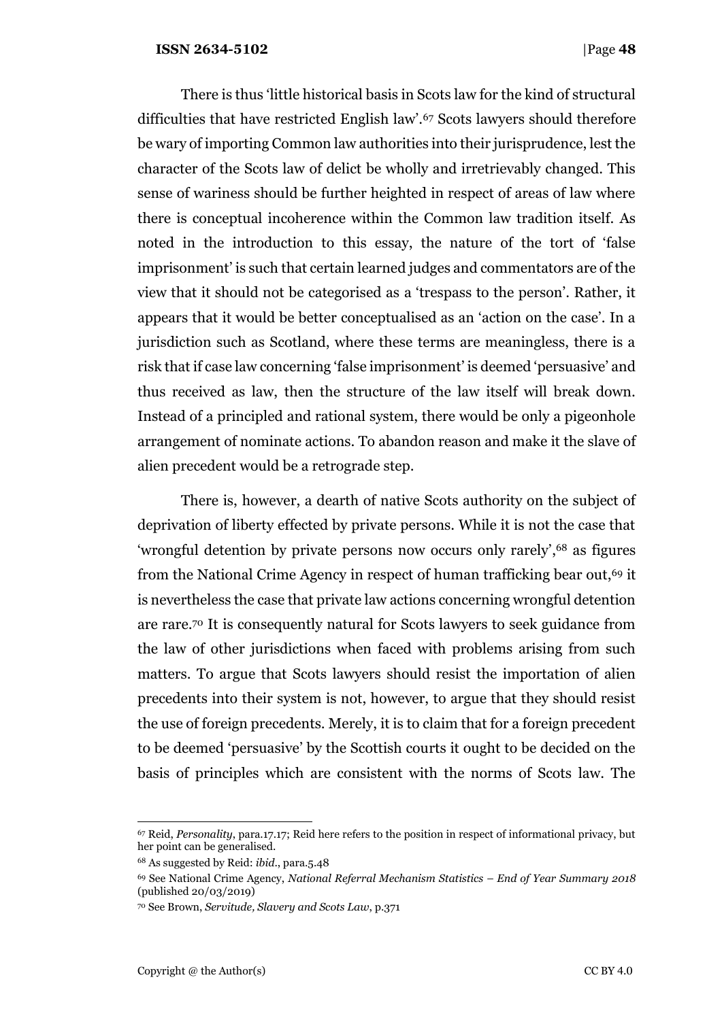There is thus 'little historical basis in Scots law for the kind of structural difficulties that have restricted English law'.<sup>67</sup> Scots lawyers should therefore be wary of importing Common law authorities into their jurisprudence, lest the character of the Scots law of delict be wholly and irretrievably changed. This sense of wariness should be further heighted in respect of areas of law where there is conceptual incoherence within the Common law tradition itself. As noted in the introduction to this essay, the nature of the tort of 'false imprisonment' is such that certain learned judges and commentators are of the view that it should not be categorised as a 'trespass to the person'. Rather, it appears that it would be better conceptualised as an 'action on the case'. In a jurisdiction such as Scotland, where these terms are meaningless, there is a risk that if case law concerning 'false imprisonment' is deemed 'persuasive' and thus received as law, then the structure of the law itself will break down. Instead of a principled and rational system, there would be only a pigeonhole arrangement of nominate actions. To abandon reason and make it the slave of alien precedent would be a retrograde step.

There is, however, a dearth of native Scots authority on the subject of deprivation of liberty effected by private persons. While it is not the case that 'wrongful detention by private persons now occurs only rarely', <sup>68</sup> as figures from the National Crime Agency in respect of human trafficking bear out,<sup>69</sup> it is nevertheless the case that private law actions concerning wrongful detention are rare.<sup>70</sup> It is consequently natural for Scots lawyers to seek guidance from the law of other jurisdictions when faced with problems arising from such matters. To argue that Scots lawyers should resist the importation of alien precedents into their system is not, however, to argue that they should resist the use of foreign precedents. Merely, it is to claim that for a foreign precedent to be deemed 'persuasive' by the Scottish courts it ought to be decided on the basis of principles which are consistent with the norms of Scots law. The

<sup>67</sup> Reid, *Personality*, para.17.17; Reid here refers to the position in respect of informational privacy, but her point can be generalised.

<sup>68</sup> As suggested by Reid: *ibid*., para.5.48

<sup>69</sup> See National Crime Agency, *National Referral Mechanism Statistics – End of Year Summary 2018*  (published 20/03/2019)

<sup>70</sup> See Brown, *Servitude, Slavery and Scots Law*, p.371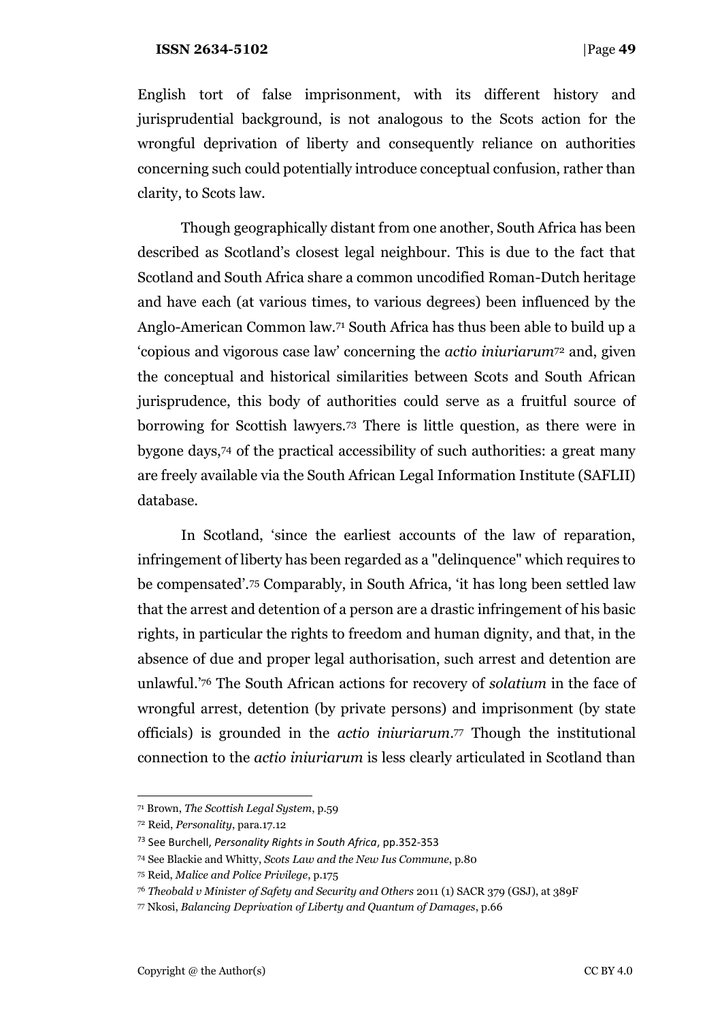English tort of false imprisonment, with its different history and jurisprudential background, is not analogous to the Scots action for the wrongful deprivation of liberty and consequently reliance on authorities concerning such could potentially introduce conceptual confusion, rather than clarity, to Scots law.

Though geographically distant from one another, South Africa has been described as Scotland's closest legal neighbour. This is due to the fact that Scotland and South Africa share a common uncodified Roman-Dutch heritage and have each (at various times, to various degrees) been influenced by the Anglo-American Common law.<sup>71</sup> South Africa has thus been able to build up a 'copious and vigorous case law' concerning the *actio iniuriarum*<sup>72</sup> and, given the conceptual and historical similarities between Scots and South African jurisprudence, this body of authorities could serve as a fruitful source of borrowing for Scottish lawyers.<sup>73</sup> There is little question, as there were in bygone days,<sup>74</sup> of the practical accessibility of such authorities: a great many are freely available via the South African Legal Information Institute (SAFLII) database.

In Scotland, 'since the earliest accounts of the law of reparation, infringement of liberty has been regarded as a "delinquence" which requires to be compensated'.<sup>75</sup> Comparably, in South Africa, 'it has long been settled law that the arrest and detention of a person are a drastic infringement of his basic rights, in particular the rights to freedom and human dignity, and that, in the absence of due and proper legal authorisation, such arrest and detention are unlawful.'<sup>76</sup> The South African actions for recovery of *solatium* in the face of wrongful arrest, detention (by private persons) and imprisonment (by state officials) is grounded in the *actio iniuriarum*. <sup>77</sup> Though the institutional connection to the *actio iniuriarum* is less clearly articulated in Scotland than

<sup>71</sup> Brown, *The Scottish Legal System*, p.59

<sup>72</sup> Reid, *Personality*, para.17.12

<sup>73</sup> See Burchell, *Personality Rights in South Africa*, pp.352-353

<sup>74</sup> See Blackie and Whitty, *Scots Law and the New Ius Commune*, p.80

<sup>75</sup> Reid, *Malice and Police Privilege*, p.175

<sup>76</sup> *Theobald v Minister of Safety and Security and Others* 2011 (1) SACR 379 (GSJ), at 389F

<sup>77</sup> Nkosi, *Balancing Deprivation of Liberty and Quantum of Damages*, p.66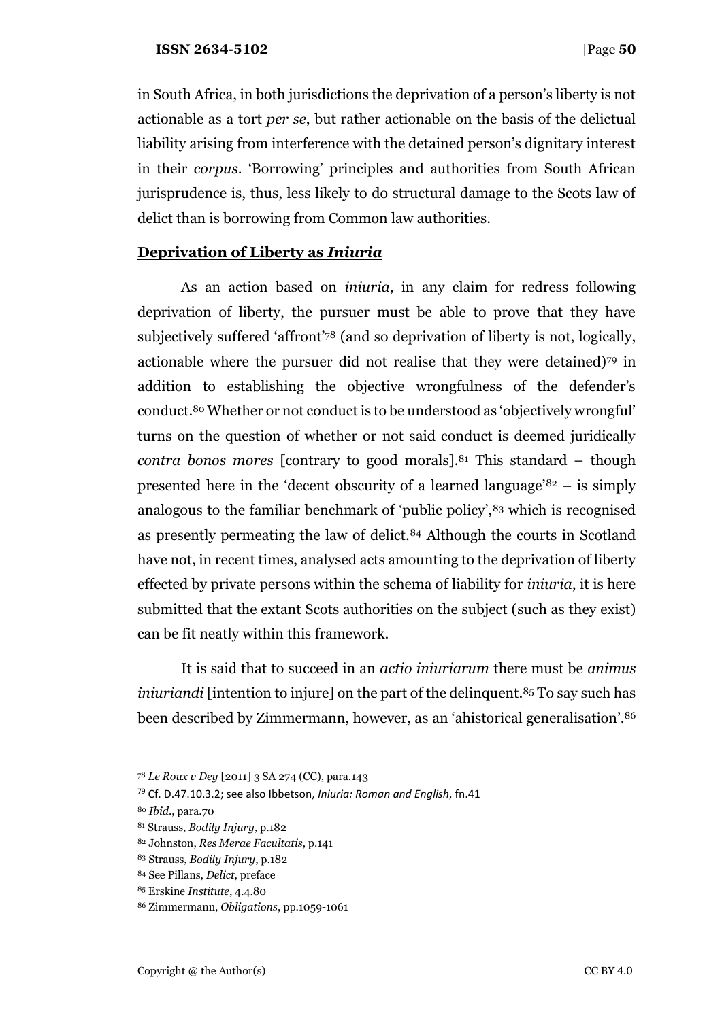in South Africa, in both jurisdictions the deprivation of a person's liberty is not actionable as a tort *per se*, but rather actionable on the basis of the delictual liability arising from interference with the detained person's dignitary interest in their *corpus*. 'Borrowing' principles and authorities from South African jurisprudence is, thus, less likely to do structural damage to the Scots law of delict than is borrowing from Common law authorities.

# **Deprivation of Liberty as** *Iniuria*

As an action based on *iniuria*, in any claim for redress following deprivation of liberty, the pursuer must be able to prove that they have subjectively suffered 'affront'<sup>78</sup> (and so deprivation of liberty is not, logically, actionable where the pursuer did not realise that they were detained)<sup>79</sup> in addition to establishing the objective wrongfulness of the defender's conduct.<sup>80</sup> Whether or not conduct is to be understood as 'objectively wrongful' turns on the question of whether or not said conduct is deemed juridically *contra bonos mores* [contrary to good morals].<sup>81</sup> This standard – though presented here in the 'decent obscurity of a learned language'<sup>82</sup> – is simply analogous to the familiar benchmark of 'public policy',<sup>83</sup> which is recognised as presently permeating the law of delict.<sup>84</sup> Although the courts in Scotland have not, in recent times, analysed acts amounting to the deprivation of liberty effected by private persons within the schema of liability for *iniuria*, it is here submitted that the extant Scots authorities on the subject (such as they exist) can be fit neatly within this framework.

It is said that to succeed in an *actio iniuriarum* there must be *animus iniuriandi* [intention to injure] on the part of the delinquent.<sup>85</sup> To say such has been described by Zimmermann, however, as an 'ahistorical generalisation'.<sup>86</sup>

<sup>78</sup> *Le Roux v Dey* [2011] 3 SA 274 (CC), para.143

<sup>79</sup> Cf. D.47.10.3.2; see also Ibbetson, *Iniuria: Roman and English*, fn.41

<sup>80</sup> *Ibid*., para.70

<sup>81</sup> Strauss, *Bodily Injury*, p.182

<sup>82</sup> Johnston, *Res Merae Facultatis*, p.141

<sup>83</sup> Strauss, *Bodily Injury*, p.182

<sup>84</sup> See Pillans, *Delict*, preface

<sup>85</sup> Erskine *Institute*, 4.4.80

<sup>86</sup> Zimmermann, *Obligations*, pp.1059-1061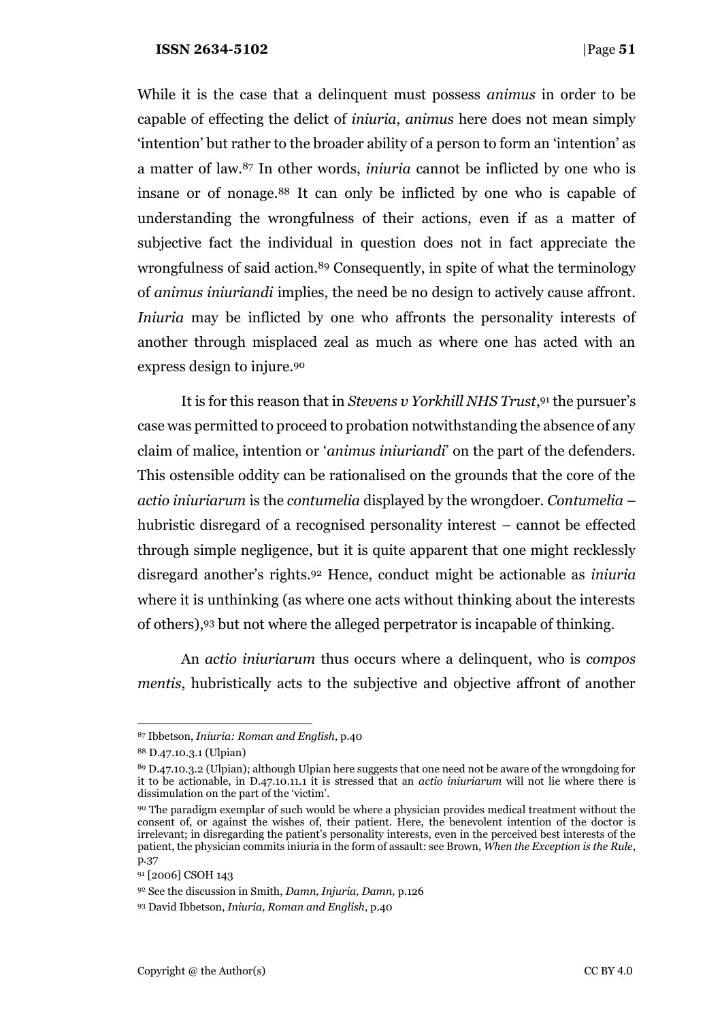While it is the case that a delinquent must possess *animus* in order to be capable of effecting the delict of *iniuria*, *animus* here does not mean simply 'intention' but rather to the broader ability of a person to form an 'intention' as a matter of law.<sup>87</sup> In other words, *iniuria* cannot be inflicted by one who is insane or of nonage.<sup>88</sup> It can only be inflicted by one who is capable of understanding the wrongfulness of their actions, even if as a matter of subjective fact the individual in question does not in fact appreciate the wrongfulness of said action.<sup>89</sup> Consequently, in spite of what the terminology of *animus iniuriandi* implies, the need be no design to actively cause affront. *Iniuria* may be inflicted by one who affronts the personality interests of another through misplaced zeal as much as where one has acted with an express design to injure.<sup>90</sup>

It is for this reason that in *Stevens v Yorkhill NHS Trust*, <sup>91</sup> the pursuer's case was permitted to proceed to probation notwithstanding the absence of any claim of malice, intention or '*animus iniuriandi*' on the part of the defenders. This ostensible oddity can be rationalised on the grounds that the core of the *actio iniuriarum* is the *contumelia* displayed by the wrongdoer. *Contumelia* – hubristic disregard of a recognised personality interest – cannot be effected through simple negligence, but it is quite apparent that one might recklessly disregard another's rights.<sup>92</sup> Hence, conduct might be actionable as *iniuria*  where it is unthinking (as where one acts without thinking about the interests of others),<sup>93</sup> but not where the alleged perpetrator is incapable of thinking.

An *actio iniuriarum* thus occurs where a delinquent, who is *compos mentis*, hubristically acts to the subjective and objective affront of another

<sup>87</sup> Ibbetson, *Iniuria: Roman and English*, p.40

<sup>88</sup> D.47.10.3.1 (Ulpian)

<sup>89</sup> D.47.10.3.2 (Ulpian); although Ulpian here suggests that one need not be aware of the wrongdoing for it to be actionable, in D.47.10.11.1 it is stressed that an *actio iniuriarum* will not lie where there is dissimulation on the part of the 'victim'.

<sup>90</sup> The paradigm exemplar of such would be where a physician provides medical treatment without the consent of, or against the wishes of, their patient. Here, the benevolent intention of the doctor is irrelevant; in disregarding the patient's personality interests, even in the perceived best interests of the patient, the physician commits iniuria in the form of assault: see Brown, *When the Exception is the Rule*, p.37

<sup>91</sup> [2006] CSOH 143

<sup>92</sup> See the discussion in Smith, *Damn, Injuria, Damn,* p.126

<sup>93</sup> David Ibbetson, *Iniuria, Roman and English*, p.40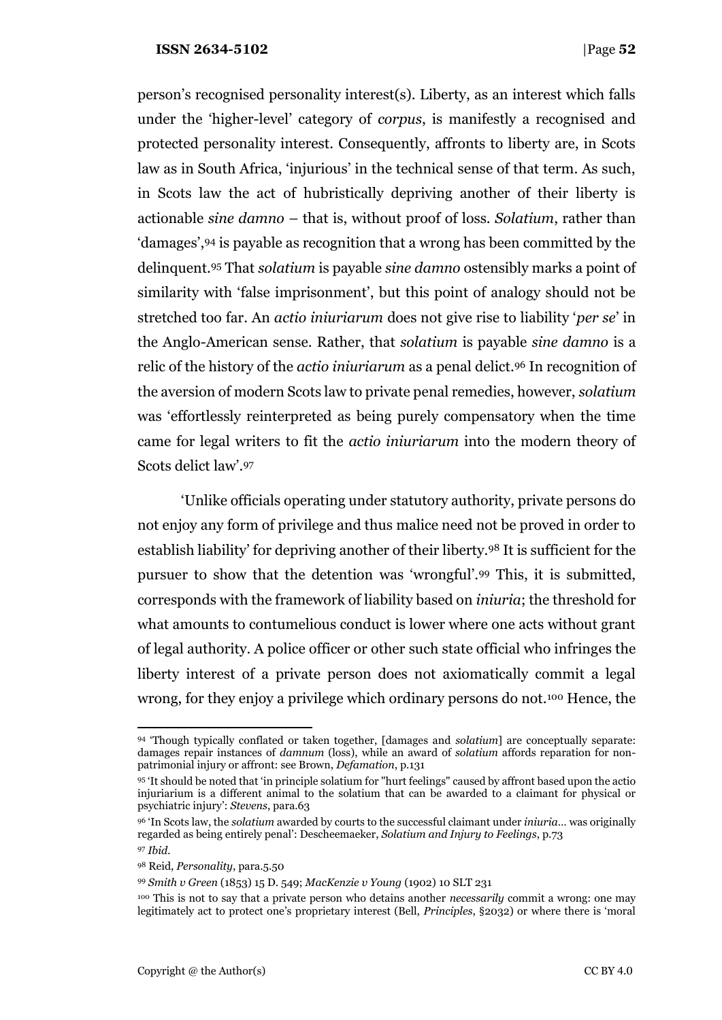person's recognised personality interest(s). Liberty, as an interest which falls under the 'higher-level' category of *corpus*, is manifestly a recognised and protected personality interest. Consequently, affronts to liberty are, in Scots law as in South Africa, 'injurious' in the technical sense of that term. As such, in Scots law the act of hubristically depriving another of their liberty is actionable *sine damno* – that is, without proof of loss. *Solatium*, rather than 'damages',<sup>94</sup> is payable as recognition that a wrong has been committed by the delinquent.<sup>95</sup> That *solatium* is payable *sine damno* ostensibly marks a point of similarity with 'false imprisonment', but this point of analogy should not be stretched too far. An *actio iniuriarum* does not give rise to liability '*per se*' in the Anglo-American sense. Rather, that *solatium* is payable *sine damno* is a relic of the history of the *actio iniuriarum* as a penal delict.<sup>96</sup> In recognition of the aversion of modern Scots law to private penal remedies, however, *solatium*  was 'effortlessly reinterpreted as being purely compensatory when the time came for legal writers to fit the *actio iniuriarum* into the modern theory of Scots delict law'.<sup>97</sup>

'Unlike officials operating under statutory authority, private persons do not enjoy any form of privilege and thus malice need not be proved in order to establish liability' for depriving another of their liberty.<sup>98</sup> It is sufficient for the pursuer to show that the detention was 'wrongful'.<sup>99</sup> This, it is submitted, corresponds with the framework of liability based on *iniuria*; the threshold for what amounts to contumelious conduct is lower where one acts without grant of legal authority. A police officer or other such state official who infringes the liberty interest of a private person does not axiomatically commit a legal wrong, for they enjoy a privilege which ordinary persons do not.<sup>100</sup> Hence, the

<sup>94</sup> 'Though typically conflated or taken together, [damages and *solatium*] are conceptually separate: damages repair instances of *damnum* (loss), while an award of *solatium* affords reparation for nonpatrimonial injury or affront: see Brown, *Defamation*, p.131

<sup>95</sup> 'It should be noted that 'in principle solatium for "hurt feelings" caused by affront based upon the actio injuriarium is a different animal to the solatium that can be awarded to a claimant for physical or psychiatric injury': *Stevens*, para.63

<sup>96</sup> 'In Scots law, the *solatium* awarded by courts to the successful claimant under *iniuria*… was originally regarded as being entirely penal': Descheemaeker, *Solatium and Injury to Feelings*, p.73

<sup>97</sup> *Ibid.*

<sup>98</sup> Reid, *Personality*, para.5.50

<sup>99</sup> *Smith v Green* (1853) 15 D. 549; *MacKenzie v Young* (1902) 10 SLT 231

<sup>100</sup> This is not to say that a private person who detains another *necessarily* commit a wrong: one may legitimately act to protect one's proprietary interest (Bell, *Principles*, §2032) or where there is 'moral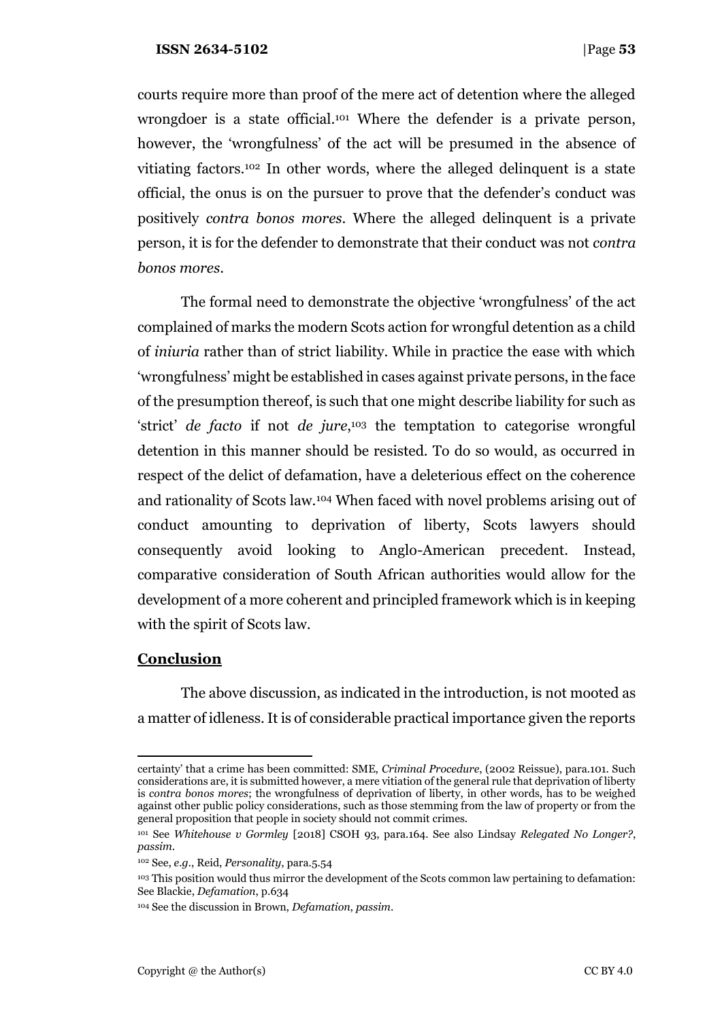courts require more than proof of the mere act of detention where the alleged wrongdoer is a state official.<sup>101</sup> Where the defender is a private person, however, the 'wrongfulness' of the act will be presumed in the absence of vitiating factors.<sup>102</sup> In other words, where the alleged delinquent is a state official, the onus is on the pursuer to prove that the defender's conduct was positively *contra bonos mores*. Where the alleged delinquent is a private person, it is for the defender to demonstrate that their conduct was not *contra bonos mores*.

The formal need to demonstrate the objective 'wrongfulness' of the act complained of marks the modern Scots action for wrongful detention as a child of *iniuria* rather than of strict liability. While in practice the ease with which 'wrongfulness' might be established in cases against private persons, in the face of the presumption thereof, is such that one might describe liability for such as 'strict' *de facto* if not *de jure*, <sup>103</sup> the temptation to categorise wrongful detention in this manner should be resisted. To do so would, as occurred in respect of the delict of defamation, have a deleterious effect on the coherence and rationality of Scots law.<sup>104</sup> When faced with novel problems arising out of conduct amounting to deprivation of liberty, Scots lawyers should consequently avoid looking to Anglo-American precedent. Instead, comparative consideration of South African authorities would allow for the development of a more coherent and principled framework which is in keeping with the spirit of Scots law.

## **Conclusion**

The above discussion, as indicated in the introduction, is not mooted as a matter of idleness. It is of considerable practical importance given the reports

certainty' that a crime has been committed: SME, *Criminal Procedure*, (2002 Reissue), para.101. Such considerations are, it is submitted however, a mere vitiation of the general rule that deprivation of liberty is *contra bonos mores*; the wrongfulness of deprivation of liberty, in other words, has to be weighed against other public policy considerations, such as those stemming from the law of property or from the general proposition that people in society should not commit crimes.

<sup>101</sup> See *Whitehouse v Gormley* [2018] CSOH 93, para.164. See also Lindsay *Relegated No Longer?*, *passim*.

<sup>102</sup> See, *e.g.*, Reid, *Personality*, para.5.54

<sup>103</sup> This position would thus mirror the development of the Scots common law pertaining to defamation: See Blackie, *Defamation*, p.634

<sup>104</sup> See the discussion in Brown, *Defamation*, *passim*.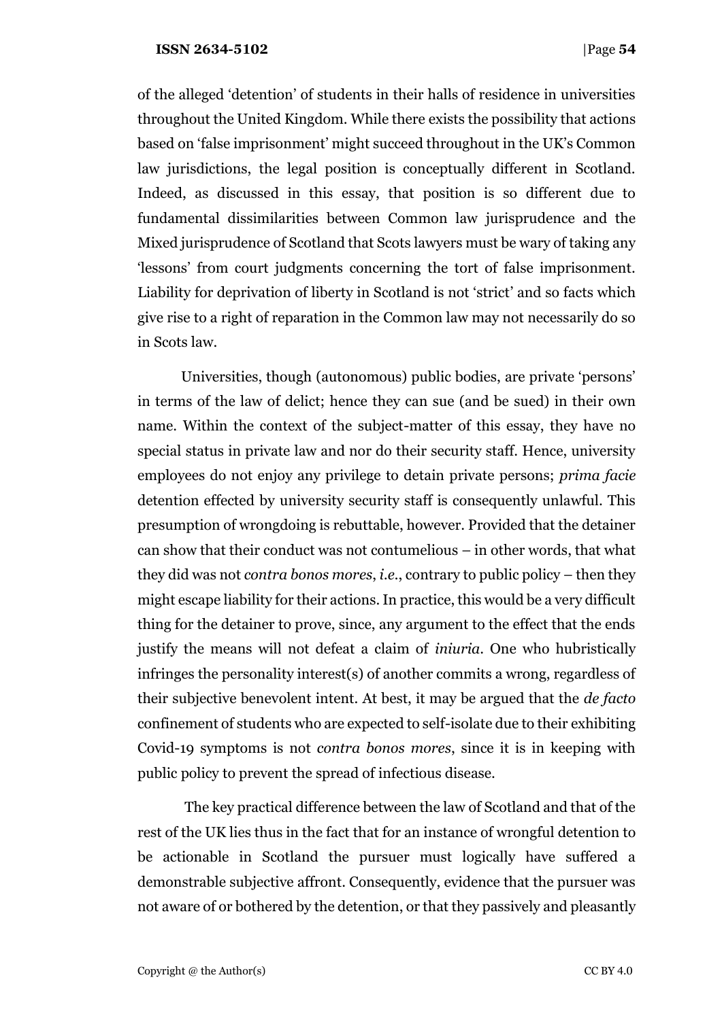of the alleged 'detention' of students in their halls of residence in universities throughout the United Kingdom. While there exists the possibility that actions based on 'false imprisonment' might succeed throughout in the UK's Common law jurisdictions, the legal position is conceptually different in Scotland. Indeed, as discussed in this essay, that position is so different due to fundamental dissimilarities between Common law jurisprudence and the Mixed jurisprudence of Scotland that Scots lawyers must be wary of taking any 'lessons' from court judgments concerning the tort of false imprisonment. Liability for deprivation of liberty in Scotland is not 'strict' and so facts which give rise to a right of reparation in the Common law may not necessarily do so in Scots law.

Universities, though (autonomous) public bodies, are private 'persons' in terms of the law of delict; hence they can sue (and be sued) in their own name. Within the context of the subject-matter of this essay, they have no special status in private law and nor do their security staff. Hence, university employees do not enjoy any privilege to detain private persons; *prima facie*  detention effected by university security staff is consequently unlawful. This presumption of wrongdoing is rebuttable, however. Provided that the detainer can show that their conduct was not contumelious – in other words, that what they did was not *contra bonos mores*, *i.e.*, contrary to public policy – then they might escape liability for their actions. In practice, this would be a very difficult thing for the detainer to prove, since, any argument to the effect that the ends justify the means will not defeat a claim of *iniuria*. One who hubristically infringes the personality interest(s) of another commits a wrong, regardless of their subjective benevolent intent. At best, it may be argued that the *de facto*  confinement of students who are expected to self-isolate due to their exhibiting Covid-19 symptoms is not *contra bonos mores*, since it is in keeping with public policy to prevent the spread of infectious disease.

The key practical difference between the law of Scotland and that of the rest of the UK lies thus in the fact that for an instance of wrongful detention to be actionable in Scotland the pursuer must logically have suffered a demonstrable subjective affront. Consequently, evidence that the pursuer was not aware of or bothered by the detention, or that they passively and pleasantly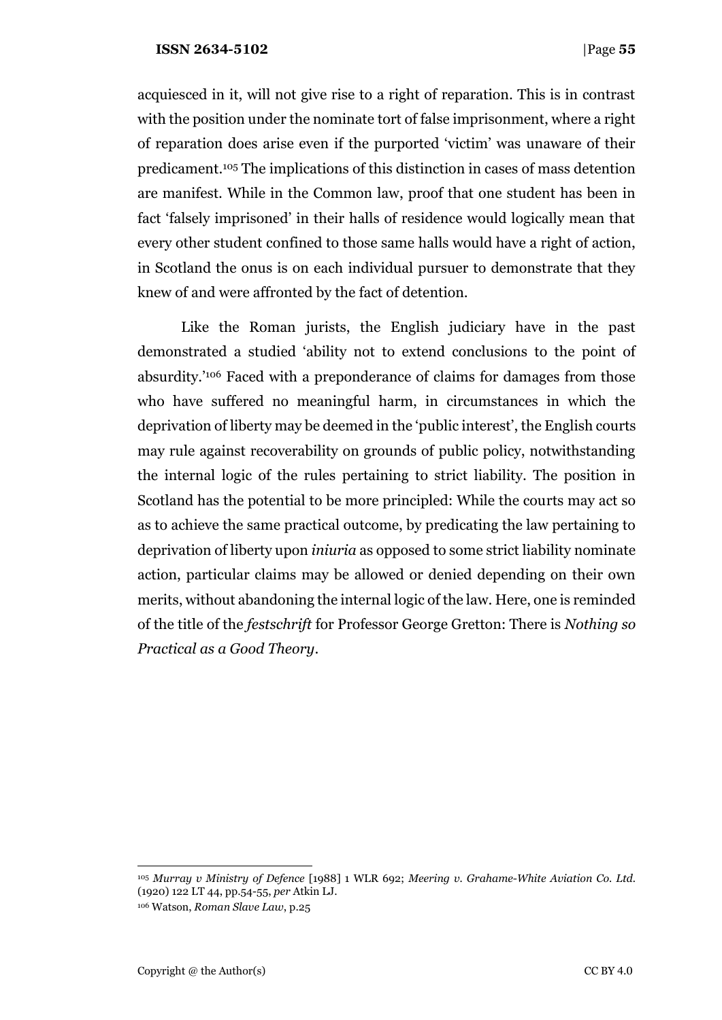acquiesced in it, will not give rise to a right of reparation. This is in contrast with the position under the nominate tort of false imprisonment, where a right of reparation does arise even if the purported 'victim' was unaware of their predicament.<sup>105</sup> The implications of this distinction in cases of mass detention are manifest. While in the Common law, proof that one student has been in fact 'falsely imprisoned' in their halls of residence would logically mean that every other student confined to those same halls would have a right of action, in Scotland the onus is on each individual pursuer to demonstrate that they knew of and were affronted by the fact of detention.

Like the Roman jurists, the English judiciary have in the past demonstrated a studied 'ability not to extend conclusions to the point of absurdity.'<sup>106</sup> Faced with a preponderance of claims for damages from those who have suffered no meaningful harm, in circumstances in which the deprivation of liberty may be deemed in the 'public interest', the English courts may rule against recoverability on grounds of public policy, notwithstanding the internal logic of the rules pertaining to strict liability. The position in Scotland has the potential to be more principled: While the courts may act so as to achieve the same practical outcome, by predicating the law pertaining to deprivation of liberty upon *iniuria* as opposed to some strict liability nominate action, particular claims may be allowed or denied depending on their own merits, without abandoning the internal logic of the law. Here, one is reminded of the title of the *festschrift* for Professor George Gretton: There is *Nothing so Practical as a Good Theory*.

<sup>105</sup> *Murray v Ministry of Defence* [1988] 1 WLR 692; *Meering v. Grahame-White Aviation Co. Ltd.* (1920) 122 LT 44, pp.54-55, *per* Atkin LJ. <sup>106</sup> Watson, *Roman Slave Law*, p.25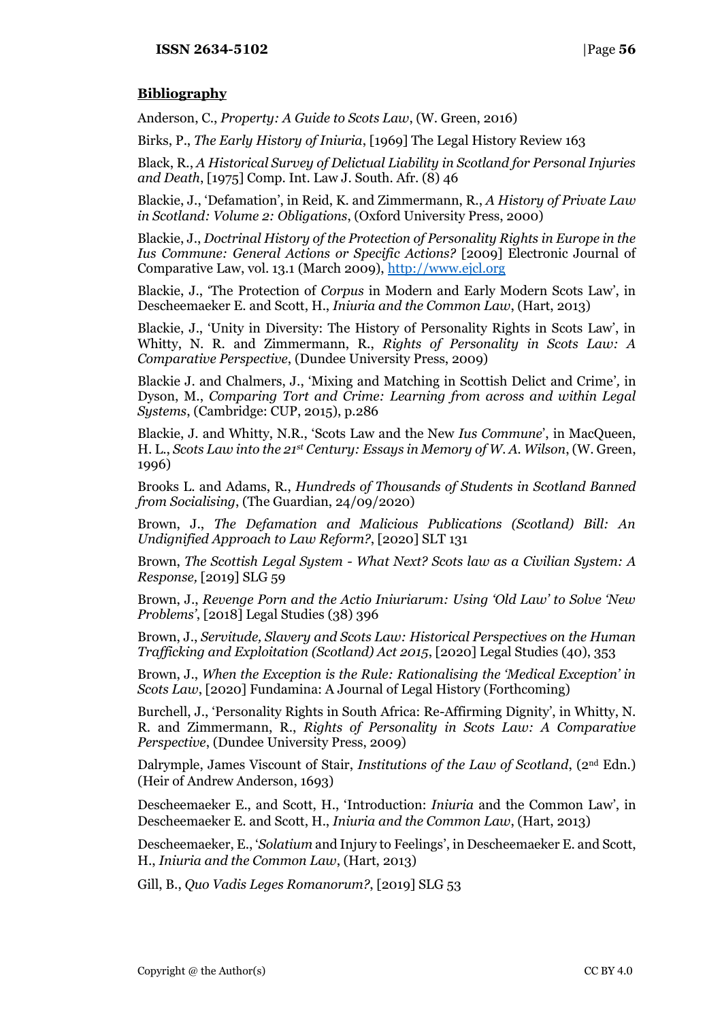# **Bibliography**

Anderson, C., *Property: A Guide to Scots Law*, (W. Green, 2016)

Birks, P., *The Early History of Iniuria*, [1969] The Legal History Review 163

Black, R., *A Historical Survey of Delictual Liability in Scotland for Personal Injuries and Death*, [1975] Comp. Int. Law J. South. Afr. (8) 46

Blackie, J., 'Defamation', in Reid, K. and Zimmermann, R., *A History of Private Law in Scotland: Volume 2: Obligations*, (Oxford University Press, 2000)

Blackie, J., *Doctrinal History of the Protection of Personality Rights in Europe in the Ius Commune: General Actions or Specific Actions?* [2009] Electronic Journal of Comparative Law, vol. 13.1 (March 2009)[, http://www.ejcl.org](http://www.ejcl.org/)

Blackie, J., 'The Protection of *Corpus* in Modern and Early Modern Scots Law', in Descheemaeker E. and Scott, H., *Iniuria and the Common Law*, (Hart, 2013)

Blackie, J., 'Unity in Diversity: The History of Personality Rights in Scots Law', in Whitty, N. R. and Zimmermann, R., *Rights of Personality in Scots Law: A Comparative Perspective*, (Dundee University Press, 2009)

Blackie J. and Chalmers, J., 'Mixing and Matching in Scottish Delict and Crime'*,* in Dyson, M., *Comparing Tort and Crime: Learning from across and within Legal Systems*, (Cambridge: CUP, 2015), p.286

Blackie, J. and Whitty, N.R., 'Scots Law and the New *Ius Commune*', in MacQueen, H. L., *Scots Law into the 21st Century: Essays in Memory of W. A. Wilson*, (W. Green, 1996)

Brooks L. and Adams, R., *Hundreds of Thousands of Students in Scotland Banned from Socialising*, (The Guardian, 24/09/2020)

Brown, J., *The Defamation and Malicious Publications (Scotland) Bill: An Undignified Approach to Law Reform?*, [2020] SLT 131

Brown, *The Scottish Legal System - What Next? Scots law as a Civilian System: A Response,* [2019] SLG 59

Brown, J., *Revenge Porn and the Actio Iniuriarum: Using 'Old Law' to Solve 'New Problems'*, [2018] Legal Studies (38) 396

Brown, J., *Servitude, Slavery and Scots Law: Historical Perspectives on the Human Trafficking and Exploitation (Scotland) Act 2015*, [2020] Legal Studies (40), 353

Brown, J., *When the Exception is the Rule: Rationalising the 'Medical Exception' in Scots Law*, [2020] Fundamina: A Journal of Legal History (Forthcoming)

Burchell, J., 'Personality Rights in South Africa: Re-Affirming Dignity', in Whitty, N. R. and Zimmermann, R., *Rights of Personality in Scots Law: A Comparative Perspective*, (Dundee University Press, 2009)

Dalrymple, James Viscount of Stair, *Institutions of the Law of Scotland*, (2nd Edn.) (Heir of Andrew Anderson, 1693)

Descheemaeker E., and Scott, H., 'Introduction: *Iniuria* and the Common Law', in Descheemaeker E. and Scott, H., *Iniuria and the Common Law*, (Hart, 2013)

Descheemaeker, E., '*Solatium* and Injury to Feelings', in Descheemaeker E. and Scott, H., *Iniuria and the Common Law*, (Hart, 2013)

Gill, B., *Quo Vadis Leges Romanorum?*, [2019] SLG 53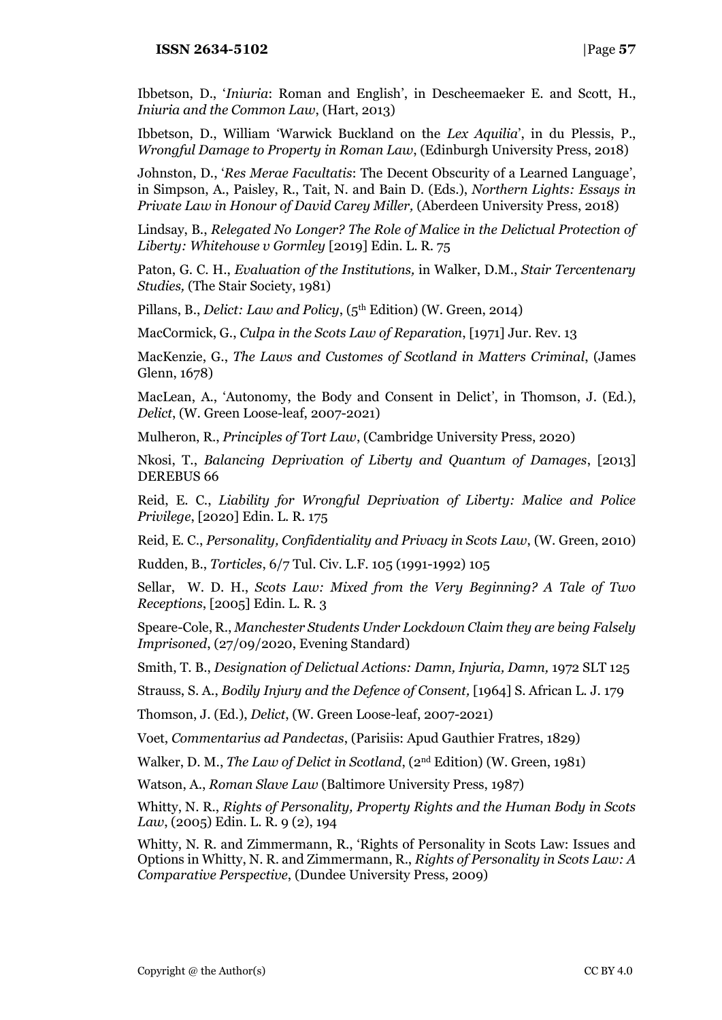Ibbetson, D., '*Iniuria*: Roman and English', in Descheemaeker E. and Scott, H., *Iniuria and the Common Law*, (Hart, 2013)

Ibbetson, D., William 'Warwick Buckland on the *Lex Aquilia*', in du Plessis, P., *Wrongful Damage to Property in Roman Law*, (Edinburgh University Press, 2018)

Johnston, D., '*Res Merae Facultatis*: The Decent Obscurity of a Learned Language', in Simpson, A., Paisley, R., Tait, N. and Bain D. (Eds.), *Northern Lights: Essays in Private Law in Honour of David Carey Miller,* (Aberdeen University Press, 2018)

Lindsay, B., *Relegated No Longer? The Role of Malice in the Delictual Protection of Liberty: Whitehouse v Gormley* [2019] Edin. L. R. 75

Paton, G. C. H., *Evaluation of the Institutions,* in Walker, D.M., *Stair Tercentenary Studies,* (The Stair Society, 1981)

Pillans, B., *Delict: Law and Policy*, (5th Edition) (W. Green, 2014)

MacCormick, G., *Culpa in the Scots Law of Reparation*, [1971] Jur. Rev. 13

MacKenzie, G., *The Laws and Customes of Scotland in Matters Criminal*, (James Glenn, 1678)

MacLean, A., 'Autonomy, the Body and Consent in Delict', in Thomson, J. (Ed.), *Delict*, (W. Green Loose-leaf, 2007-2021)

Mulheron, R., *Principles of Tort Law*, (Cambridge University Press, 2020)

Nkosi, T., *Balancing Deprivation of Liberty and Quantum of Damages*, [2013] DEREBUS 66

Reid, E. C., *Liability for Wrongful Deprivation of Liberty: Malice and Police Privilege*, [2020] Edin. L. R. 175

Reid, E. C., *Personality, Confidentiality and Privacy in Scots Law*, (W. Green, 2010)

Rudden, B., *Torticles*, 6/7 Tul. Civ. L.F. 105 (1991-1992) 105

Sellar, W. D. H., *Scots Law: Mixed from the Very Beginning? A Tale of Two Receptions*, [2005] Edin. L. R. 3

Speare-Cole, R., *Manchester Students Under Lockdown Claim they are being Falsely Imprisoned*, (27/09/2020, Evening Standard)

Smith, T. B., *Designation of Delictual Actions: Damn, Injuria, Damn,* 1972 SLT 125

Strauss, S. A., *Bodily Injury and the Defence of Consent,* [1964] S. African L. J. 179

Thomson, J. (Ed.), *Delict*, (W. Green Loose-leaf, 2007-2021)

Voet, *Commentarius ad Pandectas*, (Parisiis: Apud Gauthier Fratres, 1829)

Walker, D. M., *The Law of Delict in Scotland*, (2nd Edition) (W. Green, 1981)

Watson, A., *Roman Slave Law* (Baltimore University Press, 1987)

Whitty, N. R., *Rights of Personality, Property Rights and the Human Body in Scots Law*, (2005) Edin. L. R. 9 (2), 194

Whitty, N. R. and Zimmermann, R., 'Rights of Personality in Scots Law: Issues and Options in Whitty, N. R. and Zimmermann, R., *Rights of Personality in Scots Law: A Comparative Perspective*, (Dundee University Press, 2009)